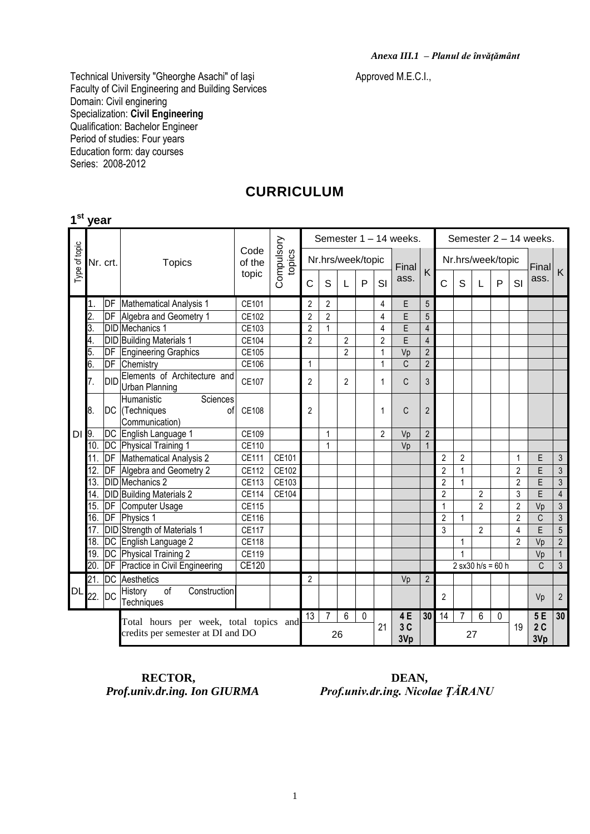Technical University "Gheorghe Asachi" of Iaşi Antonical Approved M.E.C.I., Faculty of Civil Engineering and Building Services Domain: Civil enginering Specialization: **Civil Engineering** Qualification: Bachelor Engineer Period of studies: Four years Education form: day courses Series: 2008-2012

### **CURRICULUM**

|                                   | 1 <sup>st</sup> year |           |                                                       |                |                      |                |                |                   |   |                |                        |                 |                   |                     |                |             |                          |                                 |                |
|-----------------------------------|----------------------|-----------|-------------------------------------------------------|----------------|----------------------|----------------|----------------|-------------------|---|----------------|------------------------|-----------------|-------------------|---------------------|----------------|-------------|--------------------------|---------------------------------|----------------|
|                                   |                      |           | <b>Topics</b>                                         |                | Compulsory<br>topics |                |                |                   |   |                | Semester 1 - 14 weeks. |                 |                   |                     |                |             |                          | Semester 2 - 14 weeks.          |                |
| Type of topic                     |                      | Nr. crt.  |                                                       | Code<br>of the |                      |                |                | Nr.hrs/week/topic |   |                | Final                  | $\mathsf{K}$    | Nr.hrs/week/topic |                     |                |             |                          | $\left  \text{Final} \right $ K |                |
|                                   |                      |           |                                                       | topic          |                      | $\mathsf{C}$   | S              | L                 | P | SI             | ass.                   |                 | $\overline{C}$    | S                   | L              | P           | SI                       | ass.                            |                |
|                                   | 1.                   |           | <b>DF</b> Mathematical Analysis 1                     | CE101          |                      | $\overline{2}$ | $\overline{2}$ |                   |   | 4              | Е                      | 5               |                   |                     |                |             |                          |                                 |                |
|                                   | $\overline{2}$       | DF        | Algebra and Geometry 1                                | CE102          |                      | $\overline{2}$ | $\overline{2}$ |                   |   | 4              | E                      | 5               |                   |                     |                |             |                          |                                 |                |
|                                   | 3.                   |           | <b>DID</b> Mechanics 1                                | CE103          |                      | $\overline{2}$ | $\overline{1}$ |                   |   | $\overline{4}$ | E                      | $\overline{4}$  |                   |                     |                |             |                          |                                 |                |
|                                   | 4.                   |           | <b>DID</b> Building Materials 1                       | <b>CE104</b>   |                      | $\overline{2}$ |                | $\overline{2}$    |   | $\overline{2}$ | $\overline{E}$         | $\overline{4}$  |                   |                     |                |             |                          |                                 |                |
|                                   | 5.                   | DF        | <b>Engineering Graphics</b>                           | CE105          |                      |                |                | $\overline{2}$    |   | $\mathbf{1}$   | Vp                     | $\overline{2}$  |                   |                     |                |             |                          |                                 |                |
|                                   | 6.                   | DF        | Chemistry                                             | CE106          |                      | $\mathbf{1}$   |                |                   |   | 1              | C                      | $\overline{2}$  |                   |                     |                |             |                          |                                 |                |
|                                   | 7.                   | DID       | Elements of Architecture and<br><b>Urban Planning</b> | CE107          |                      | $\overline{2}$ |                | $\overline{2}$    |   | 1              | C                      | 3               |                   |                     |                |             |                          |                                 |                |
|                                   |                      |           | Sciences<br>Humanistic                                |                |                      |                |                |                   |   |                |                        |                 |                   |                     |                |             |                          |                                 |                |
|                                   | 8.                   |           | DC (Techniques<br>οf                                  | CE108          |                      | $\overline{2}$ |                |                   |   | 1              | C                      | $\overline{2}$  |                   |                     |                |             |                          |                                 |                |
|                                   |                      |           | Communication)                                        |                |                      |                |                |                   |   |                |                        |                 |                   |                     |                |             |                          |                                 |                |
| DI                                | 9.                   |           | DC English Language 1                                 | CE109          |                      |                | 1              |                   |   | $\overline{2}$ | Vp                     | $\overline{2}$  |                   |                     |                |             |                          |                                 |                |
|                                   | 10.                  |           | DC Physical Training 1                                | CE110          |                      |                | $\mathbf{1}$   |                   |   |                | Vp                     | $\mathbf{1}$    |                   |                     |                |             |                          |                                 |                |
|                                   | 11.                  | DF        | Mathematical Analysis 2                               | CE111          | CE101                |                |                |                   |   |                |                        |                 | $\overline{2}$    | 2                   |                |             | 1                        | E                               | 3              |
|                                   | 12.                  | DF        | Algebra and Geometry 2                                | CE112          | CE102                |                |                |                   |   |                |                        |                 | $\overline{2}$    |                     |                |             | $\overline{2}$           | E                               | $\sqrt{3}$     |
|                                   | $\overline{13}$      |           | DID Mechanics 2                                       | CE113          | CE103                |                |                |                   |   |                |                        |                 | $\overline{2}$    | 1                   |                |             | $\overline{2}$           | E                               | $\mathfrak{Z}$ |
|                                   | 14.                  |           | DID Building Materials 2                              | CE114          | CE104                |                |                |                   |   |                |                        |                 | $\overline{2}$    |                     | $\overline{2}$ |             | 3                        | E                               | $\overline{4}$ |
|                                   | $\overline{15}$ .    |           | <b>DF</b> Computer Usage                              | <b>CE115</b>   |                      |                |                |                   |   |                |                        |                 | $\mathbf{1}$      |                     | $\overline{2}$ |             | $\overline{2}$           | Vp                              | $\sqrt{3}$     |
|                                   | 16.                  | DF        | Physics 1                                             | CE116          |                      |                |                |                   |   |                |                        |                 | $\overline{2}$    | 1                   |                |             | $\overline{2}$           | C                               | $\mathfrak{Z}$ |
|                                   | 17.                  |           | <b>DID</b> Strength of Materials 1                    | <b>CE117</b>   |                      |                |                |                   |   |                |                        |                 | 3                 |                     | $\overline{2}$ |             | $\overline{4}$           | $\overline{E}$                  | $\overline{5}$ |
|                                   | 18.                  |           | DC English Language 2                                 | CE118          |                      |                |                |                   |   |                |                        |                 |                   |                     |                |             | $\overline{\phantom{a}}$ | Vp                              | $\sqrt{2}$     |
|                                   | 19.                  |           | DC Physical Training 2                                | CE119          |                      |                |                |                   |   |                |                        |                 |                   |                     |                |             |                          | Vp                              | $\mathbf{1}$   |
|                                   | 20.                  | DF        | Practice in Civil Engineering                         | CE120          |                      |                |                |                   |   |                |                        |                 |                   | $2$ sx30 h/s = 60 h |                |             |                          | $\mathsf{C}$                    | $\overline{3}$ |
|                                   | 21.                  | DC        | Aesthetics                                            |                |                      | $\overline{2}$ |                |                   |   |                | Vp                     | $\overline{2}$  |                   |                     |                |             |                          |                                 |                |
| <b>DL</b>                         | 22.                  | <b>DC</b> | of<br>Construction<br>History<br>Techniques           |                |                      |                |                |                   |   |                |                        |                 | $\overline{2}$    |                     |                |             |                          | Vp                              | $\overline{2}$ |
|                                   |                      |           | Total hours per week, total topics and                |                |                      |                | 7              | $\overline{6}$    | 0 |                | 4E                     | 30 <sup>1</sup> | 14                | 7                   | 6              | $\mathbf 0$ |                          | 5E                              | 30             |
| credits per semester at DI and DO |                      |           |                                                       |                |                      | 26             |                |                   |   | 21             | 3C<br>3Vp              |                 |                   | 27                  |                |             | 19                       | 2C<br>3Vp                       |                |

**RECTOR, DEAN,** *Prof.univ.dr.ing. Ion GIURMA Prof.univ.dr.ing. Nicol* 

 $Proof.$ *univ.dr.ing. Nicolae ŢĂRANU*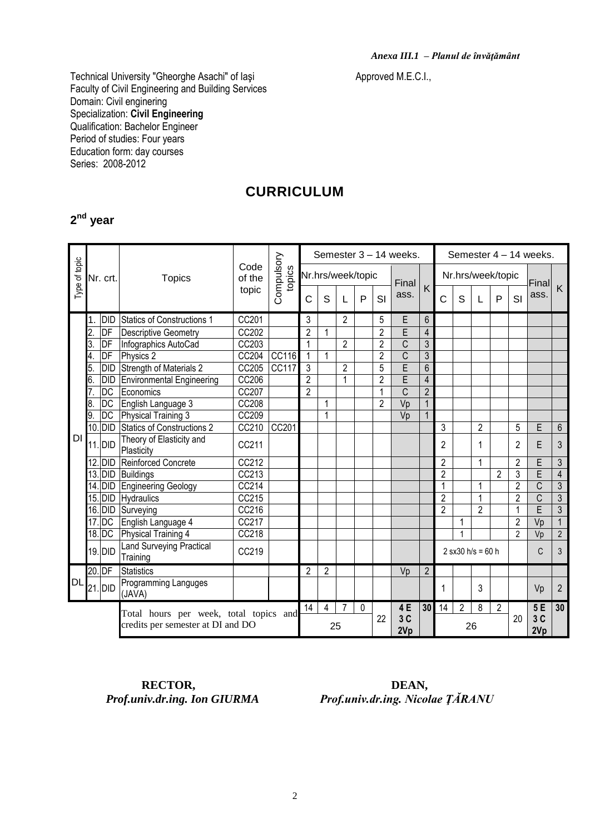Technical University "Gheorghe Asachi" of Iaşi Antonical Approved M.E.C.I., Faculty of Civil Engineering and Building Services Domain: Civil enginering Specialization: **Civil Engineering** Qualification: Bachelor Engineer Period of studies: Four years Education form: day courses Series: 2008-2012

### **CURRICULUM**

#### **2 nd year**

|               |     |            |                                                                             | Code<br>of the | Compulsory<br>topics |                |                |                   |    |                | Semester 3 - 14 weeks.  |                 | Semester 4 - 14 weeks. |                |                     |                |                |                |                |
|---------------|-----|------------|-----------------------------------------------------------------------------|----------------|----------------------|----------------|----------------|-------------------|----|----------------|-------------------------|-----------------|------------------------|----------------|---------------------|----------------|----------------|----------------|----------------|
| Type of topic |     | Nr. crt.   | <b>Topics</b>                                                               |                |                      |                |                | Nr.hrs/week/topic |    |                | Final                   |                 | Nr.hrs/week/topic      |                |                     |                |                | Final          |                |
|               |     |            |                                                                             | topic          |                      | Ċ              | S              |                   | P  | SI             | ass.                    | K               | Ć                      | S              |                     | $\mathsf{P}$   | SI             | ass.           | K              |
|               | 1.  | <b>DID</b> | Statics of Constructions 1                                                  | CC201          |                      | 3              |                | $\overline{2}$    |    | 5              | E                       | $6\phantom{.}6$ |                        |                |                     |                |                |                |                |
|               | 2.  | DF         | <b>Descriptive Geometry</b>                                                 | CC202          |                      | $\overline{2}$ | 1              |                   |    | $\overline{2}$ | E                       | $\overline{4}$  |                        |                |                     |                |                |                |                |
|               | 3.  | DF         | Infographics AutoCad                                                        | CC203          |                      | $\mathbf{1}$   |                | $\overline{2}$    |    | $\overline{2}$ | $\overline{C}$          | $\mathfrak{Z}$  |                        |                |                     |                |                |                |                |
|               | 4.  | DF         | Physics 2                                                                   | CC204          | CC116                | $\mathbf{1}$   | $\mathbf{1}$   |                   |    | $\overline{2}$ | $\overline{C}$          | $\overline{3}$  |                        |                |                     |                |                |                |                |
|               | 5.  | <b>DID</b> | Strength of Materials 2                                                     | CC205          | <b>CC117</b>         | $\overline{3}$ |                | $\overline{2}$    |    | $\overline{5}$ | $\overline{E}$          | $\overline{6}$  |                        |                |                     |                |                |                |                |
|               | 6.  | <b>DID</b> | Environmental Engineering                                                   | CC206          |                      | $\overline{2}$ |                | 1                 |    | $\overline{2}$ | $\overline{\mathsf{E}}$ | $\overline{4}$  |                        |                |                     |                |                |                |                |
|               | 7.  | DC         | Economics                                                                   | CC207          |                      | $\overline{2}$ |                |                   |    | 1              | $\overline{C}$          | $\overline{2}$  |                        |                |                     |                |                |                |                |
|               | 8.  | DC         | English Language 3                                                          | <b>CC208</b>   |                      |                | $\mathbf{1}$   |                   |    | $\overline{2}$ | Vp                      | $\mathbf{1}$    |                        |                |                     |                |                |                |                |
|               | 9.  | <b>DC</b>  | Physical Training 3                                                         | CC209          |                      |                | $\overline{1}$ |                   |    |                | Vp                      | $\mathbf{1}$    |                        |                |                     |                |                |                |                |
|               |     | 10. DID    | Statics of Constructions 2                                                  | CC210          | CC201                |                |                |                   |    |                |                         |                 | 3                      |                | $\overline{2}$      |                | 5              | E              | $6\phantom{1}$ |
| <b>DI</b>     |     | 11. DID    | Theory of Elasticity and<br>Plasticity                                      | CC211          |                      |                |                |                   |    |                |                         |                 | 2                      |                | 1                   |                | 2              | E              | 3              |
|               |     | 12. DID    | Reinforced Concrete                                                         | CC212          |                      |                |                |                   |    |                |                         |                 | 2                      |                | 1                   |                | $\overline{2}$ | F              | 3              |
|               |     | 13. DID    | <b>Buildings</b>                                                            | CC213          |                      |                |                |                   |    |                |                         |                 | $\overline{2}$         |                |                     | $\overline{2}$ | 3              | Ē              | $\overline{4}$ |
|               |     | 14. DID    | Engineering Geology                                                         | CC214          |                      |                |                |                   |    |                |                         |                 | 1                      |                | 1                   |                | $\overline{2}$ | C              | 3              |
|               |     | 15. DID    | Hydraulics                                                                  | CC215          |                      |                |                |                   |    |                |                         |                 | $\overline{2}$         |                | $\overline{1}$      |                | $\overline{2}$ | $\overline{C}$ | $\overline{3}$ |
|               |     | $16.$ DID  | Surveying                                                                   | CC216          |                      |                |                |                   |    |                |                         |                 | $\overline{2}$         |                | $\overline{2}$      |                | 1              | E              | $\overline{3}$ |
|               | 17. | DC         | English Language 4                                                          | CC217          |                      |                |                |                   |    |                |                         |                 |                        | 1              |                     |                | $\overline{2}$ | Vp             | $\mathbf{1}$   |
|               |     | $18.$ DC   | Physical Training 4                                                         | CC218          |                      |                |                |                   |    |                |                         |                 |                        | 1              |                     |                | $\overline{2}$ | Vp             | $\overline{2}$ |
|               |     | 19. DID    | <b>Land Surveying Practical</b><br>Training                                 | CC219          |                      |                |                |                   |    |                |                         |                 |                        |                | $2$ sx30 h/s = 60 h |                |                | C              | 3              |
|               |     | 20. DF     | <b>Statistics</b>                                                           |                |                      | 2              | $\overline{2}$ |                   |    |                | Vp                      | $\overline{2}$  |                        |                |                     |                |                |                |                |
| <b>DL</b>     |     | 21. DID    | Programming Languges<br>(JAVA)                                              |                |                      |                |                |                   |    |                |                         |                 |                        |                | 3                   |                |                | Vp             | $\overline{2}$ |
|               |     |            |                                                                             |                |                      | 14             | 4              | 7                 | 0  |                | 4E                      | 30 <sup>1</sup> | 14                     | $\overline{2}$ | 8                   | 2              |                | 5E             | 30             |
|               |     |            | Total hours per week, total topics and<br>credits per semester at DI and DO |                |                      | 25             |                |                   | 22 | 3C<br>2Vp      |                         | 26              |                        |                |                     | 20             | 3C<br>2Vp      |                |                |

**RECTOR, DEAN,** *Prof.univ.dr.ing. Ion GIURMA Prof.univ.dr.ing. Nicol* 

 $Proof.$ *univ.dr.ing. Nicolae ŢĂRANU*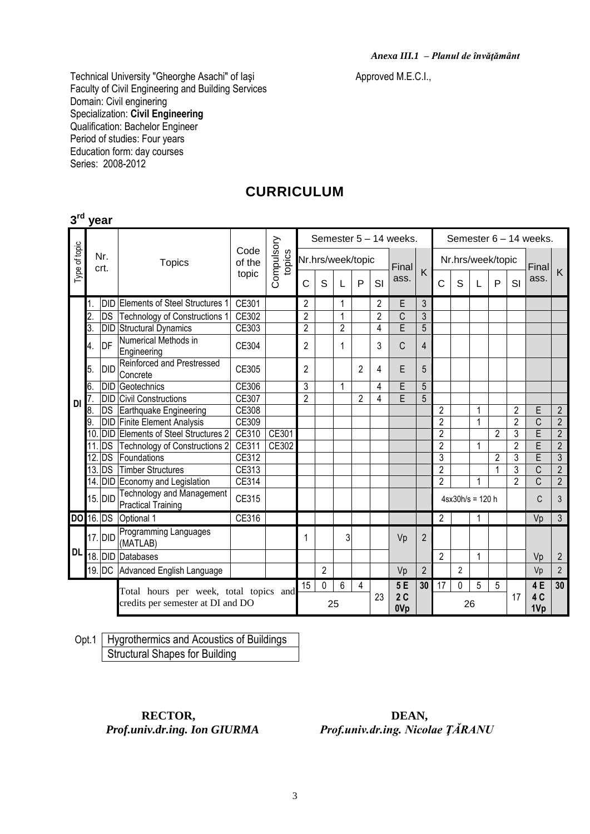Technical University "Gheorghe Asachi" of Iaşi Annuncus Approved M.E.C.I., Faculty of Civil Engineering and Building Services Domain: Civil enginering Specialization: **Civil Engineering** Qualification: Bachelor Engineer Period of studies: Four years Education form: day courses Series: 2008-2012

### **CURRICULUM**

|               | $3rd$ year  |            |                                                                             |                |                      |                        |   |                |                       |                |       |                |                   |                        |    |                |                |                         |                |  |
|---------------|-------------|------------|-----------------------------------------------------------------------------|----------------|----------------------|------------------------|---|----------------|-----------------------|----------------|-------|----------------|-------------------|------------------------|----|----------------|----------------|-------------------------|----------------|--|
|               | Nr.<br>crt. |            |                                                                             |                |                      | Semester 5 - 14 weeks. |   |                |                       |                |       |                |                   | Semester 6 - 14 weeks. |    |                |                |                         |                |  |
| Type of topic |             |            | <b>Topics</b>                                                               | Code<br>of the | Compulsory<br>topics | Nr.hrs/week/topic      |   |                |                       |                | Final |                | Nr.hrs/week/topic |                        |    |                |                | Final                   | K              |  |
|               |             |            |                                                                             | topic          |                      | C                      | S |                | P                     | SI             | ass.  | K              | $\overline{C}$    | S                      |    | P              | SI             | ass.                    |                |  |
|               | 1.          |            | <b>DID Elements of Steel Structures 1</b>                                   | CE301          |                      | 2                      |   | 1              |                       | $\overline{2}$ | E     | 3              |                   |                        |    |                |                |                         |                |  |
|               | 2.          |            | DS Technology of Constructions 1                                            | CE302          |                      | $\overline{2}$         |   | 1              |                       | $\overline{2}$ | C     | $\overline{3}$ |                   |                        |    |                |                |                         |                |  |
|               | 3.          |            | <b>DID Structural Dynamics</b>                                              | CE303          |                      | $\overline{2}$         |   | $\overline{2}$ |                       | 4              | Ē     | 5              |                   |                        |    |                |                |                         |                |  |
|               | 4.          | DF         | Numerical Methods in<br>Engineering                                         | CE304          |                      | 2                      |   | 1              |                       | 3              | C     | $\overline{4}$ |                   |                        |    |                |                |                         |                |  |
|               | 5.          | <b>DID</b> | Reinforced and Prestressed<br>Concrete                                      | CE305          |                      | 2                      |   |                | 2                     | 4              | E     | 5              |                   |                        |    |                |                |                         |                |  |
|               | 6.          |            | <b>DID Geotechnics</b>                                                      | CE306          |                      | 3                      |   | 1              |                       | 4              | E     | 5              |                   |                        |    |                |                |                         |                |  |
| <b>DI</b>     | 7.          |            | <b>DID Civil Constructions</b>                                              | CE307          |                      | $\overline{2}$         |   |                | 2                     | 4              | Ē     | 5              |                   |                        |    |                |                |                         |                |  |
|               | 8.          |            | DS Earthquake Engineering                                                   | CE308          |                      |                        |   |                |                       |                |       |                | $\overline{2}$    |                        | 1  |                | 2              | E                       | $\overline{2}$ |  |
|               | 9.          |            | <b>DID Finite Element Analysis</b>                                          | CE309          |                      |                        |   |                |                       |                |       |                | $\overline{2}$    |                        | 1  |                | $\overline{2}$ | $\overline{C}$          | $\overline{2}$ |  |
|               | 10          |            | <b>DID Elements of Steel Structures 2</b>                                   | CE310          | CE301                |                        |   |                |                       |                |       |                | $\overline{2}$    |                        |    | $\overline{2}$ | 3              | $\overline{\mathsf{E}}$ | $\overline{2}$ |  |
|               | 11          | <b>DS</b>  | Technology of Constructions 2                                               | CE311          | CE302                |                        |   |                |                       |                |       |                | $\overline{2}$    |                        | 1  |                | $\overline{2}$ | E                       | $\overline{2}$ |  |
|               | 12.         | <b>DS</b>  | Foundations                                                                 | CE312          |                      |                        |   |                |                       |                |       |                | 3                 |                        |    | $\overline{2}$ | 3              | E                       | $\overline{3}$ |  |
|               |             | $13.$ DS   | Timber Structures                                                           | CE313          |                      |                        |   |                |                       |                |       |                | $\overline{2}$    |                        |    | $\mathbf{1}$   | 3              | C                       | $\overline{2}$ |  |
|               |             |            | 14. DID Economy and Legislation                                             | CE314          |                      |                        |   |                |                       |                |       |                | $\overline{2}$    |                        | 1  |                | $\overline{2}$ | $\overline{C}$          | $\overline{2}$ |  |
|               |             | 15. DID    | <b>Technology and Management</b><br><b>Practical Training</b>               | CE315          |                      |                        |   |                |                       |                |       |                | $4sx30h/s = 120h$ |                        |    |                |                | C                       | 3              |  |
|               |             |            | DO 16. DS Optional 1                                                        | CE316          |                      |                        |   |                |                       |                |       |                | 2                 |                        |    |                |                | Vp                      | $\mathfrak{Z}$ |  |
|               |             | $17.$ DID  | Programming Languages<br>(MATLAB)                                           |                |                      | 1                      |   | 3              |                       |                | Vp    | $\overline{2}$ |                   |                        |    |                |                |                         |                |  |
| <b>DL</b>     |             |            | 18. DID Databases                                                           |                |                      |                        |   |                |                       |                |       |                | $\overline{2}$    |                        | 1  |                |                | Vp                      | $\overline{2}$ |  |
|               |             |            | 19. DC Advanced English Language                                            |                |                      |                        | 2 |                |                       |                | Vp    | $\overline{2}$ |                   | 2                      |    |                |                | Vp                      | $\overline{2}$ |  |
|               |             |            |                                                                             |                |                      | 15                     | 0 | 6              | 4                     |                | 5E    | 30             | 17                | 0                      | 5  | 5              |                | 4E                      | 30             |  |
|               |             |            | Total hours per week, total topics and<br>credits per semester at DI and DO | 25             |                      |                        |   | 23             | 2C<br>0V <sub>p</sub> |                | 26    |                |                   |                        | 17 | 4 C<br>1Vp     |                |                         |                |  |

Opt.1 Hygrothermics and Acoustics of Buildings Structural Shapes for Building

# **RECTOR, DEAN,**

*Prof.univ.dr.ing. Ion GIURMA Prof.univ.dr.ing. Nicolae ŢĂRANU*